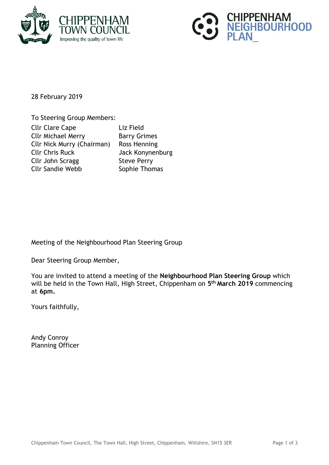



28 February 2019

To Steering Group Members: Cllr Clare Cape Liz Field Cllr Michael Merry Barry Grimes Cllr Nick Murry (Chairman) Ross Henning Cllr Chris Ruck Jack Konynenburg Cllr John Scragg Steve Perry Cllr Sandie Webb Sophie Thomas

Meeting of the Neighbourhood Plan Steering Group

Dear Steering Group Member,

You are invited to attend a meeting of the **Neighbourhood Plan Steering Group** which will be held in the Town Hall, High Street, Chippenham on **5 th March 2019** commencing at **6pm.**

Yours faithfully,

Andy Conroy Planning Officer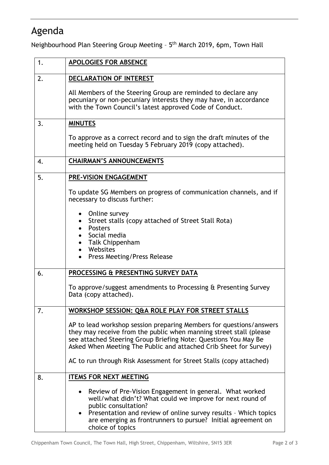## Agenda

Neighbourhood Plan Steering Group Meeting - 5<sup>th</sup> March 2019, 6pm, Town Hall

| 1. | <b>APOLOGIES FOR ABSENCE</b>                                                                                                                                                                                                                                                                        |
|----|-----------------------------------------------------------------------------------------------------------------------------------------------------------------------------------------------------------------------------------------------------------------------------------------------------|
| 2. | DECLARATION OF INTEREST                                                                                                                                                                                                                                                                             |
|    | All Members of the Steering Group are reminded to declare any<br>pecuniary or non-pecuniary interests they may have, in accordance<br>with the Town Council's latest approved Code of Conduct.                                                                                                      |
| 3. | <b>MINUTES</b>                                                                                                                                                                                                                                                                                      |
|    | To approve as a correct record and to sign the draft minutes of the<br>meeting held on Tuesday 5 February 2019 (copy attached).                                                                                                                                                                     |
| 4. | <b>CHAIRMAN'S ANNOUNCEMENTS</b>                                                                                                                                                                                                                                                                     |
| 5. | PRE-VISION ENGAGEMENT                                                                                                                                                                                                                                                                               |
|    | To update SG Members on progress of communication channels, and if<br>necessary to discuss further:                                                                                                                                                                                                 |
|    | • Online survey<br>• Street stalls (copy attached of Street Stall Rota)<br>Posters<br>Social media<br>• Talk Chippenham<br>• Websites<br>• Press Meeting/Press Release                                                                                                                              |
| 6. | <b>PROCESSING &amp; PRESENTING SURVEY DATA</b>                                                                                                                                                                                                                                                      |
|    | To approve/suggest amendments to Processing & Presenting Survey<br>Data (copy attached).                                                                                                                                                                                                            |
| 7. | WORKSHOP SESSION: Q&A ROLE PLAY FOR STREET STALLS                                                                                                                                                                                                                                                   |
|    | AP to lead workshop session preparing Members for questions/answers<br>they may receive from the public when manning street stall (please<br>see attached Steering Group Briefing Note: Questions You May Be<br>Asked When Meeting The Public and attached Crib Sheet for Survey)                   |
|    | AC to run through Risk Assessment for Street Stalls (copy attached)                                                                                                                                                                                                                                 |
| 8. | <b>ITEMS FOR NEXT MEETING</b>                                                                                                                                                                                                                                                                       |
|    | Review of Pre-Vision Engagement in general. What worked<br>well/what didn't? What could we improve for next round of<br>public consultation?<br>Presentation and review of online survey results - Which topics<br>are emerging as frontrunners to pursue? Initial agreement on<br>choice of topics |